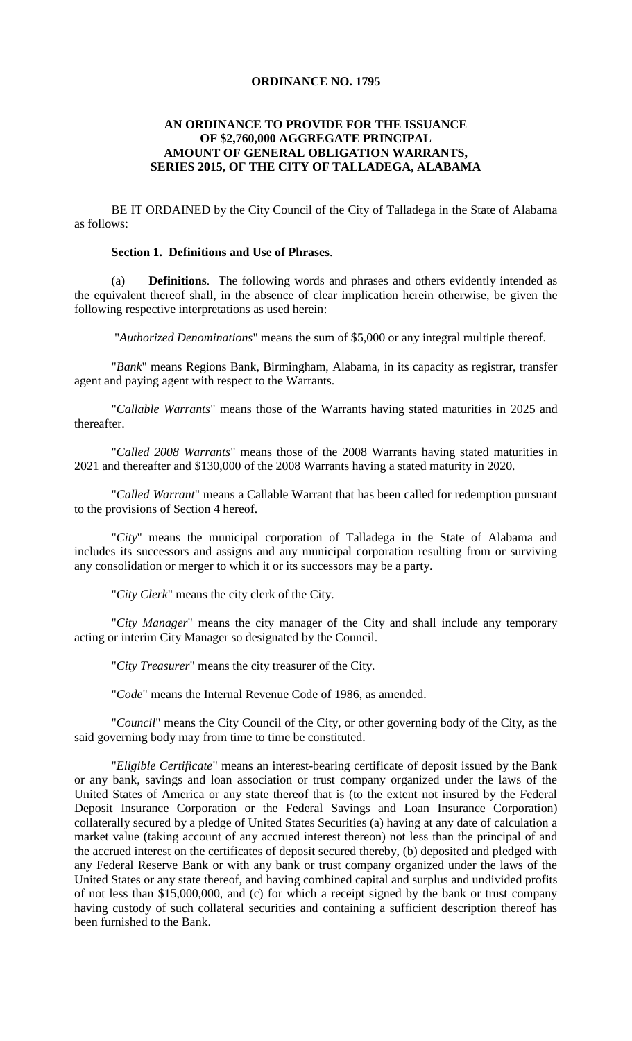## **ORDINANCE NO. 1795**

## **AN ORDINANCE TO PROVIDE FOR THE ISSUANCE OF \$2,760,000 AGGREGATE PRINCIPAL AMOUNT OF GENERAL OBLIGATION WARRANTS, SERIES 2015, OF THE CITY OF TALLADEGA, ALABAMA**

BE IT ORDAINED by the City Council of the City of Talladega in the State of Alabama as follows:

#### **Section 1. Definitions and Use of Phrases**.

(a) **Definitions**. The following words and phrases and others evidently intended as the equivalent thereof shall, in the absence of clear implication herein otherwise, be given the following respective interpretations as used herein:

"*Authorized Denominations*" means the sum of \$5,000 or any integral multiple thereof.

"*Bank*" means Regions Bank, Birmingham, Alabama, in its capacity as registrar, transfer agent and paying agent with respect to the Warrants.

"*Callable Warrants*" means those of the Warrants having stated maturities in 2025 and thereafter.

"*Called 2008 Warrants*" means those of the 2008 Warrants having stated maturities in 2021 and thereafter and \$130,000 of the 2008 Warrants having a stated maturity in 2020.

"*Called Warrant*" means a Callable Warrant that has been called for redemption pursuant to the provisions of Section 4 hereof.

"*City*" means the municipal corporation of Talladega in the State of Alabama and includes its successors and assigns and any municipal corporation resulting from or surviving any consolidation or merger to which it or its successors may be a party.

"*City Clerk*" means the city clerk of the City.

"*City Manager*" means the city manager of the City and shall include any temporary acting or interim City Manager so designated by the Council.

"*City Treasurer*" means the city treasurer of the City.

"*Code*" means the Internal Revenue Code of 1986, as amended.

"*Council*" means the City Council of the City, or other governing body of the City, as the said governing body may from time to time be constituted.

"*Eligible Certificate*" means an interest-bearing certificate of deposit issued by the Bank or any bank, savings and loan association or trust company organized under the laws of the United States of America or any state thereof that is (to the extent not insured by the Federal Deposit Insurance Corporation or the Federal Savings and Loan Insurance Corporation) collaterally secured by a pledge of United States Securities (a) having at any date of calculation a market value (taking account of any accrued interest thereon) not less than the principal of and the accrued interest on the certificates of deposit secured thereby, (b) deposited and pledged with any Federal Reserve Bank or with any bank or trust company organized under the laws of the United States or any state thereof, and having combined capital and surplus and undivided profits of not less than \$15,000,000, and (c) for which a receipt signed by the bank or trust company having custody of such collateral securities and containing a sufficient description thereof has been furnished to the Bank.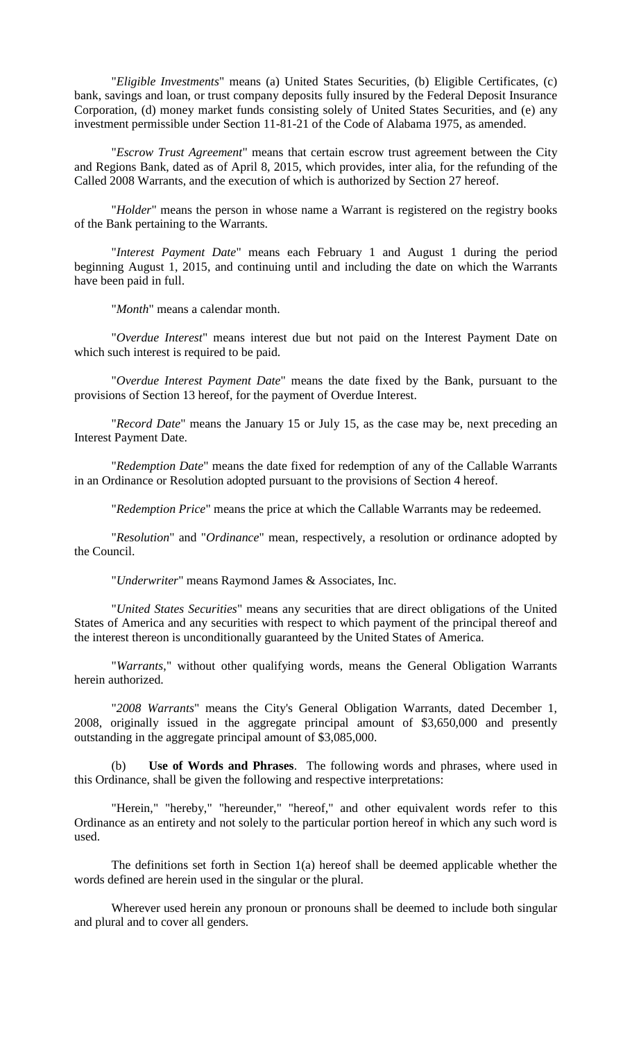"*Eligible Investments*" means (a) United States Securities, (b) Eligible Certificates, (c) bank, savings and loan, or trust company deposits fully insured by the Federal Deposit Insurance Corporation, (d) money market funds consisting solely of United States Securities, and (e) any investment permissible under Section 11-81-21 of the Code of Alabama 1975, as amended.

"*Escrow Trust Agreement*" means that certain escrow trust agreement between the City and Regions Bank, dated as of April 8, 2015, which provides, inter alia, for the refunding of the Called 2008 Warrants, and the execution of which is authorized by Section 27 hereof.

"*Holder*" means the person in whose name a Warrant is registered on the registry books of the Bank pertaining to the Warrants.

"*Interest Payment Date*" means each February 1 and August 1 during the period beginning August 1, 2015, and continuing until and including the date on which the Warrants have been paid in full.

"*Month*" means a calendar month.

"*Overdue Interest*" means interest due but not paid on the Interest Payment Date on which such interest is required to be paid.

"*Overdue Interest Payment Date*" means the date fixed by the Bank, pursuant to the provisions of Section 13 hereof, for the payment of Overdue Interest.

"*Record Date*" means the January 15 or July 15, as the case may be, next preceding an Interest Payment Date.

"*Redemption Date*" means the date fixed for redemption of any of the Callable Warrants in an Ordinance or Resolution adopted pursuant to the provisions of Section 4 hereof.

"*Redemption Price*" means the price at which the Callable Warrants may be redeemed.

"*Resolution*" and "*Ordinance*" mean, respectively, a resolution or ordinance adopted by the Council.

"*Underwriter*" means Raymond James & Associates, Inc.

"*United States Securities*" means any securities that are direct obligations of the United States of America and any securities with respect to which payment of the principal thereof and the interest thereon is unconditionally guaranteed by the United States of America.

"*Warrants*," without other qualifying words, means the General Obligation Warrants herein authorized.

"*2008 Warrants*" means the City's General Obligation Warrants, dated December 1, 2008, originally issued in the aggregate principal amount of \$3,650,000 and presently outstanding in the aggregate principal amount of \$3,085,000.

(b) **Use of Words and Phrases**. The following words and phrases, where used in this Ordinance, shall be given the following and respective interpretations:

"Herein," "hereby," "hereunder," "hereof," and other equivalent words refer to this Ordinance as an entirety and not solely to the particular portion hereof in which any such word is used.

The definitions set forth in Section 1(a) hereof shall be deemed applicable whether the words defined are herein used in the singular or the plural.

Wherever used herein any pronoun or pronouns shall be deemed to include both singular and plural and to cover all genders.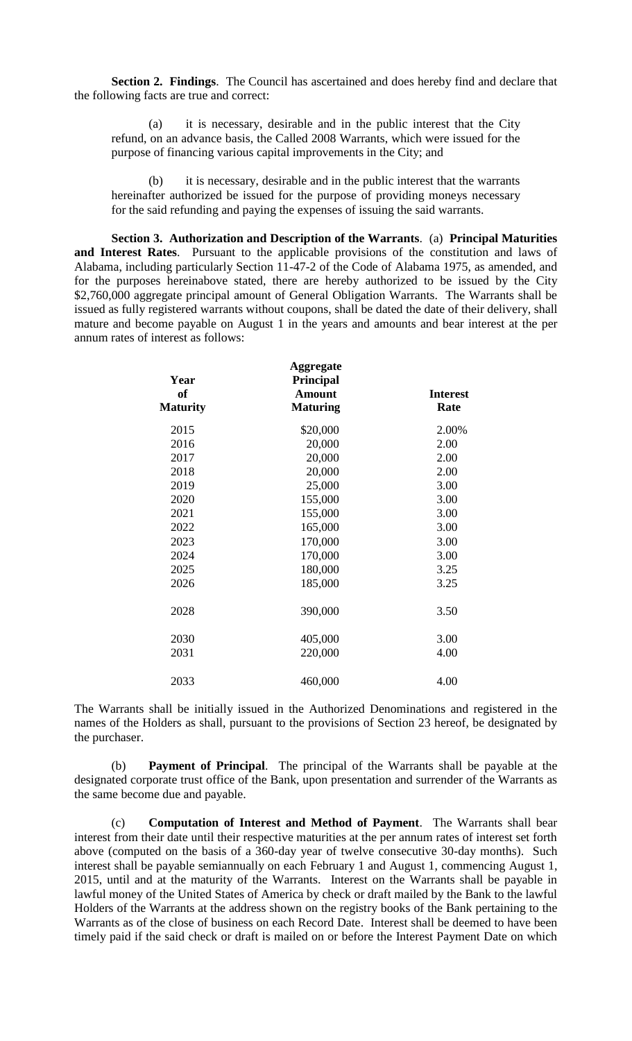**Section 2. Findings**. The Council has ascertained and does hereby find and declare that the following facts are true and correct:

(a) it is necessary, desirable and in the public interest that the City refund, on an advance basis, the Called 2008 Warrants, which were issued for the purpose of financing various capital improvements in the City; and

(b) it is necessary, desirable and in the public interest that the warrants hereinafter authorized be issued for the purpose of providing moneys necessary for the said refunding and paying the expenses of issuing the said warrants.

**Section 3. Authorization and Description of the Warrants**. (a) **Principal Maturities and Interest Rates**. Pursuant to the applicable provisions of the constitution and laws of Alabama, including particularly Section 11-47-2 of the Code of Alabama 1975, as amended, and for the purposes hereinabove stated, there are hereby authorized to be issued by the City \$2,760,000 aggregate principal amount of General Obligation Warrants. The Warrants shall be issued as fully registered warrants without coupons, shall be dated the date of their delivery, shall mature and become payable on August 1 in the years and amounts and bear interest at the per annum rates of interest as follows:

| Year<br><b>of</b><br><b>Maturity</b> | <b>Aggregate</b><br>Principal<br><b>Amount</b><br><b>Maturing</b> | <b>Interest</b><br>Rate |
|--------------------------------------|-------------------------------------------------------------------|-------------------------|
| 2015                                 | \$20,000                                                          | 2.00%                   |
| 2016                                 | 20,000                                                            | 2.00                    |
| 2017                                 | 20,000                                                            | 2.00                    |
| 2018                                 | 20,000                                                            | 2.00                    |
| 2019                                 | 25,000                                                            | 3.00                    |
| 2020                                 | 155,000                                                           | 3.00                    |
| 2021                                 | 155,000                                                           | 3.00                    |
| 2022                                 | 165,000                                                           | 3.00                    |
| 2023                                 | 170,000                                                           | 3.00                    |
| 2024                                 | 170,000                                                           | 3.00                    |
| 2025                                 | 180,000                                                           | 3.25                    |
| 2026                                 | 185,000                                                           | 3.25                    |
| 2028                                 | 390,000                                                           | 3.50                    |
| 2030                                 | 405,000                                                           | 3.00                    |
| 2031                                 | 220,000                                                           | 4.00                    |
| 2033                                 | 460,000                                                           | 4.00                    |

The Warrants shall be initially issued in the Authorized Denominations and registered in the names of the Holders as shall, pursuant to the provisions of Section 23 hereof, be designated by the purchaser.

(b) **Payment of Principal**. The principal of the Warrants shall be payable at the designated corporate trust office of the Bank, upon presentation and surrender of the Warrants as the same become due and payable.

(c) **Computation of Interest and Method of Payment**. The Warrants shall bear interest from their date until their respective maturities at the per annum rates of interest set forth above (computed on the basis of a 360-day year of twelve consecutive 30-day months). Such interest shall be payable semiannually on each February 1 and August 1, commencing August 1, 2015, until and at the maturity of the Warrants. Interest on the Warrants shall be payable in lawful money of the United States of America by check or draft mailed by the Bank to the lawful Holders of the Warrants at the address shown on the registry books of the Bank pertaining to the Warrants as of the close of business on each Record Date. Interest shall be deemed to have been timely paid if the said check or draft is mailed on or before the Interest Payment Date on which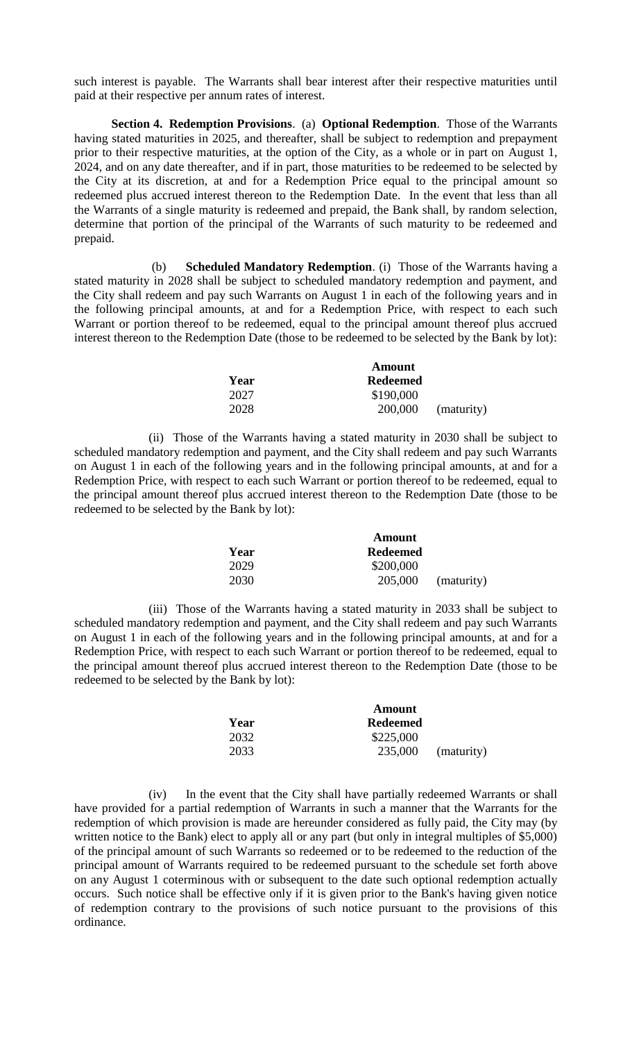such interest is payable. The Warrants shall bear interest after their respective maturities until paid at their respective per annum rates of interest.

**Section 4. Redemption Provisions**. (a) **Optional Redemption**. Those of the Warrants having stated maturities in 2025, and thereafter, shall be subject to redemption and prepayment prior to their respective maturities, at the option of the City, as a whole or in part on August 1, 2024, and on any date thereafter, and if in part, those maturities to be redeemed to be selected by the City at its discretion, at and for a Redemption Price equal to the principal amount so redeemed plus accrued interest thereon to the Redemption Date. In the event that less than all the Warrants of a single maturity is redeemed and prepaid, the Bank shall, by random selection, determine that portion of the principal of the Warrants of such maturity to be redeemed and prepaid.

(b) **Scheduled Mandatory Redemption**. (i) Those of the Warrants having a stated maturity in 2028 shall be subject to scheduled mandatory redemption and payment, and the City shall redeem and pay such Warrants on August 1 in each of the following years and in the following principal amounts, at and for a Redemption Price, with respect to each such Warrant or portion thereof to be redeemed, equal to the principal amount thereof plus accrued interest thereon to the Redemption Date (those to be redeemed to be selected by the Bank by lot):

|      | Amount          |            |
|------|-----------------|------------|
| Year | <b>Redeemed</b> |            |
| 2027 | \$190,000       |            |
| 2028 | 200,000         | (maturity) |

(ii) Those of the Warrants having a stated maturity in 2030 shall be subject to scheduled mandatory redemption and payment, and the City shall redeem and pay such Warrants on August 1 in each of the following years and in the following principal amounts, at and for a Redemption Price, with respect to each such Warrant or portion thereof to be redeemed, equal to the principal amount thereof plus accrued interest thereon to the Redemption Date (those to be redeemed to be selected by the Bank by lot):

|      | Amount          |            |
|------|-----------------|------------|
| Year | <b>Redeemed</b> |            |
| 2029 | \$200,000       |            |
| 2030 | 205,000         | (maturity) |

(iii) Those of the Warrants having a stated maturity in 2033 shall be subject to scheduled mandatory redemption and payment, and the City shall redeem and pay such Warrants on August 1 in each of the following years and in the following principal amounts, at and for a Redemption Price, with respect to each such Warrant or portion thereof to be redeemed, equal to the principal amount thereof plus accrued interest thereon to the Redemption Date (those to be redeemed to be selected by the Bank by lot):

|      | Amount          |            |
|------|-----------------|------------|
| Year | <b>Redeemed</b> |            |
| 2032 | \$225,000       |            |
| 2033 | 235,000         | (maturity) |

(iv) In the event that the City shall have partially redeemed Warrants or shall have provided for a partial redemption of Warrants in such a manner that the Warrants for the redemption of which provision is made are hereunder considered as fully paid, the City may (by written notice to the Bank) elect to apply all or any part (but only in integral multiples of \$5,000) of the principal amount of such Warrants so redeemed or to be redeemed to the reduction of the principal amount of Warrants required to be redeemed pursuant to the schedule set forth above on any August 1 coterminous with or subsequent to the date such optional redemption actually occurs. Such notice shall be effective only if it is given prior to the Bank's having given notice of redemption contrary to the provisions of such notice pursuant to the provisions of this ordinance.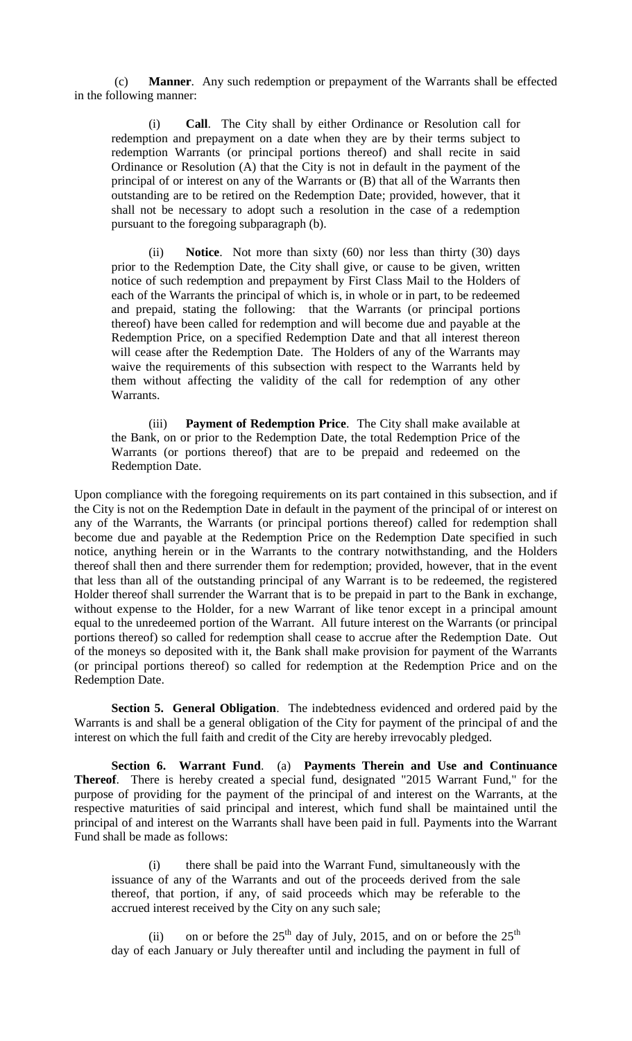(c) **Manner**. Any such redemption or prepayment of the Warrants shall be effected in the following manner:

(i) **Call**. The City shall by either Ordinance or Resolution call for redemption and prepayment on a date when they are by their terms subject to redemption Warrants (or principal portions thereof) and shall recite in said Ordinance or Resolution (A) that the City is not in default in the payment of the principal of or interest on any of the Warrants or (B) that all of the Warrants then outstanding are to be retired on the Redemption Date; provided, however, that it shall not be necessary to adopt such a resolution in the case of a redemption pursuant to the foregoing subparagraph (b).

(ii) **Notice**. Not more than sixty (60) nor less than thirty (30) days prior to the Redemption Date, the City shall give, or cause to be given, written notice of such redemption and prepayment by First Class Mail to the Holders of each of the Warrants the principal of which is, in whole or in part, to be redeemed and prepaid, stating the following: that the Warrants (or principal portions thereof) have been called for redemption and will become due and payable at the Redemption Price, on a specified Redemption Date and that all interest thereon will cease after the Redemption Date. The Holders of any of the Warrants may waive the requirements of this subsection with respect to the Warrants held by them without affecting the validity of the call for redemption of any other Warrants.

(iii) **Payment of Redemption Price**. The City shall make available at the Bank, on or prior to the Redemption Date, the total Redemption Price of the Warrants (or portions thereof) that are to be prepaid and redeemed on the Redemption Date.

Upon compliance with the foregoing requirements on its part contained in this subsection, and if the City is not on the Redemption Date in default in the payment of the principal of or interest on any of the Warrants, the Warrants (or principal portions thereof) called for redemption shall become due and payable at the Redemption Price on the Redemption Date specified in such notice, anything herein or in the Warrants to the contrary notwithstanding, and the Holders thereof shall then and there surrender them for redemption; provided, however, that in the event that less than all of the outstanding principal of any Warrant is to be redeemed, the registered Holder thereof shall surrender the Warrant that is to be prepaid in part to the Bank in exchange, without expense to the Holder, for a new Warrant of like tenor except in a principal amount equal to the unredeemed portion of the Warrant. All future interest on the Warrants (or principal portions thereof) so called for redemption shall cease to accrue after the Redemption Date. Out of the moneys so deposited with it, the Bank shall make provision for payment of the Warrants (or principal portions thereof) so called for redemption at the Redemption Price and on the Redemption Date.

**Section 5. General Obligation**. The indebtedness evidenced and ordered paid by the Warrants is and shall be a general obligation of the City for payment of the principal of and the interest on which the full faith and credit of the City are hereby irrevocably pledged.

**Section 6. Warrant Fund**. (a) **Payments Therein and Use and Continuance Thereof**. There is hereby created a special fund, designated "2015 Warrant Fund," for the purpose of providing for the payment of the principal of and interest on the Warrants, at the respective maturities of said principal and interest, which fund shall be maintained until the principal of and interest on the Warrants shall have been paid in full. Payments into the Warrant Fund shall be made as follows:

(i) there shall be paid into the Warrant Fund, simultaneously with the issuance of any of the Warrants and out of the proceeds derived from the sale thereof, that portion, if any, of said proceeds which may be referable to the accrued interest received by the City on any such sale;

(ii) on or before the  $25<sup>th</sup>$  day of July, 2015, and on or before the  $25<sup>th</sup>$ day of each January or July thereafter until and including the payment in full of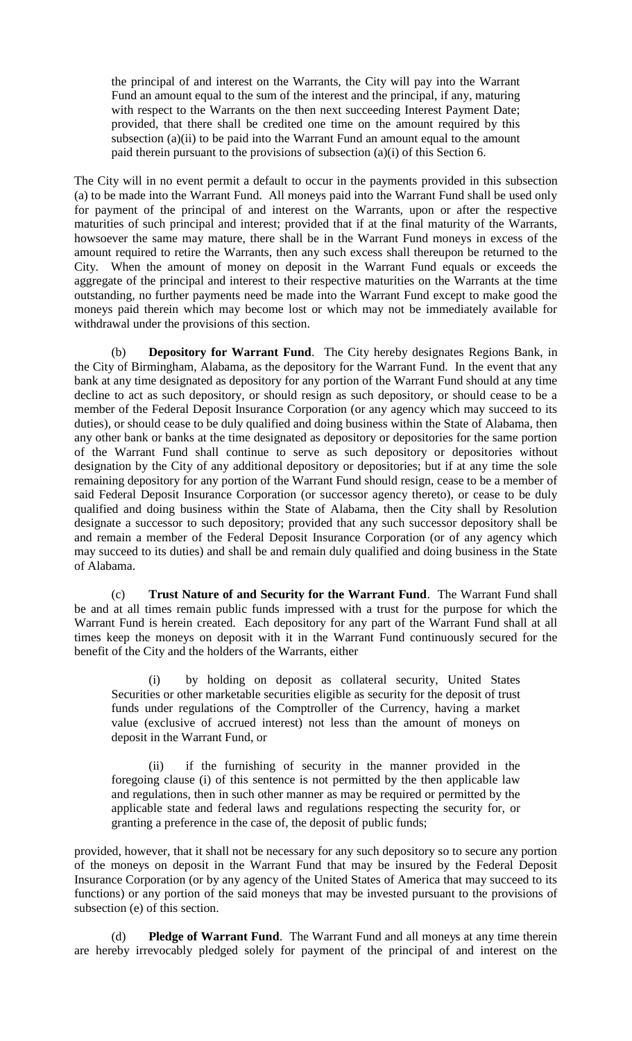the principal of and interest on the Warrants, the City will pay into the Warrant Fund an amount equal to the sum of the interest and the principal, if any, maturing with respect to the Warrants on the then next succeeding Interest Payment Date; provided, that there shall be credited one time on the amount required by this subsection (a)(ii) to be paid into the Warrant Fund an amount equal to the amount paid therein pursuant to the provisions of subsection (a)(i) of this Section 6.

The City will in no event permit a default to occur in the payments provided in this subsection (a) to be made into the Warrant Fund. All moneys paid into the Warrant Fund shall be used only for payment of the principal of and interest on the Warrants, upon or after the respective maturities of such principal and interest; provided that if at the final maturity of the Warrants, howsoever the same may mature, there shall be in the Warrant Fund moneys in excess of the amount required to retire the Warrants, then any such excess shall thereupon be returned to the City. When the amount of money on deposit in the Warrant Fund equals or exceeds the aggregate of the principal and interest to their respective maturities on the Warrants at the time outstanding, no further payments need be made into the Warrant Fund except to make good the moneys paid therein which may become lost or which may not be immediately available for withdrawal under the provisions of this section.

(b) **Depository for Warrant Fund**. The City hereby designates Regions Bank, in the City of Birmingham, Alabama, as the depository for the Warrant Fund. In the event that any bank at any time designated as depository for any portion of the Warrant Fund should at any time decline to act as such depository, or should resign as such depository, or should cease to be a member of the Federal Deposit Insurance Corporation (or any agency which may succeed to its duties), or should cease to be duly qualified and doing business within the State of Alabama, then any other bank or banks at the time designated as depository or depositories for the same portion of the Warrant Fund shall continue to serve as such depository or depositories without designation by the City of any additional depository or depositories; but if at any time the sole remaining depository for any portion of the Warrant Fund should resign, cease to be a member of said Federal Deposit Insurance Corporation (or successor agency thereto), or cease to be duly qualified and doing business within the State of Alabama, then the City shall by Resolution designate a successor to such depository; provided that any such successor depository shall be and remain a member of the Federal Deposit Insurance Corporation (or of any agency which may succeed to its duties) and shall be and remain duly qualified and doing business in the State of Alabama.

(c) **Trust Nature of and Security for the Warrant Fund**. The Warrant Fund shall be and at all times remain public funds impressed with a trust for the purpose for which the Warrant Fund is herein created. Each depository for any part of the Warrant Fund shall at all times keep the moneys on deposit with it in the Warrant Fund continuously secured for the benefit of the City and the holders of the Warrants, either

(i) by holding on deposit as collateral security, United States Securities or other marketable securities eligible as security for the deposit of trust funds under regulations of the Comptroller of the Currency, having a market value (exclusive of accrued interest) not less than the amount of moneys on deposit in the Warrant Fund, or

(ii) if the furnishing of security in the manner provided in the foregoing clause (i) of this sentence is not permitted by the then applicable law and regulations, then in such other manner as may be required or permitted by the applicable state and federal laws and regulations respecting the security for, or granting a preference in the case of, the deposit of public funds;

provided, however, that it shall not be necessary for any such depository so to secure any portion of the moneys on deposit in the Warrant Fund that may be insured by the Federal Deposit Insurance Corporation (or by any agency of the United States of America that may succeed to its functions) or any portion of the said moneys that may be invested pursuant to the provisions of subsection (e) of this section.

(d) **Pledge of Warrant Fund**. The Warrant Fund and all moneys at any time therein are hereby irrevocably pledged solely for payment of the principal of and interest on the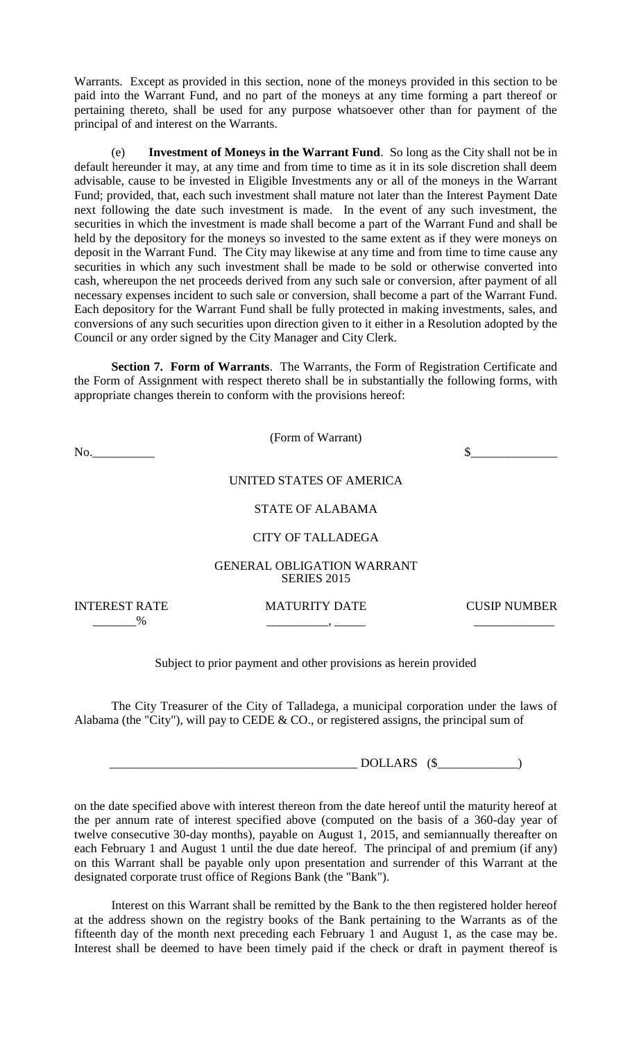Warrants. Except as provided in this section, none of the moneys provided in this section to be paid into the Warrant Fund, and no part of the moneys at any time forming a part thereof or pertaining thereto, shall be used for any purpose whatsoever other than for payment of the principal of and interest on the Warrants.

(e) **Investment of Moneys in the Warrant Fund**. So long as the City shall not be in default hereunder it may, at any time and from time to time as it in its sole discretion shall deem advisable, cause to be invested in Eligible Investments any or all of the moneys in the Warrant Fund; provided, that, each such investment shall mature not later than the Interest Payment Date next following the date such investment is made. In the event of any such investment, the securities in which the investment is made shall become a part of the Warrant Fund and shall be held by the depository for the moneys so invested to the same extent as if they were moneys on deposit in the Warrant Fund. The City may likewise at any time and from time to time cause any securities in which any such investment shall be made to be sold or otherwise converted into cash, whereupon the net proceeds derived from any such sale or conversion, after payment of all necessary expenses incident to such sale or conversion, shall become a part of the Warrant Fund. Each depository for the Warrant Fund shall be fully protected in making investments, sales, and conversions of any such securities upon direction given to it either in a Resolution adopted by the Council or any order signed by the City Manager and City Clerk.

**Section 7. Form of Warrants**. The Warrants, the Form of Registration Certificate and the Form of Assignment with respect thereto shall be in substantially the following forms, with appropriate changes therein to conform with the provisions hereof:

(Form of Warrant)

 $\infty$ .

# UNITED STATES OF AMERICA

STATE OF ALABAMA

### CITY OF TALLADEGA

#### GENERAL OBLIGATION WARRANT SERIES 2015

INTEREST RATE MATURITY DATE CUSIP NUMBER  $\frac{9}{6}$ 

### Subject to prior payment and other provisions as herein provided

The City Treasurer of the City of Talladega, a municipal corporation under the laws of Alabama (the "City"), will pay to CEDE & CO., or registered assigns, the principal sum of

 $\begin{minipage}{14pt} \begin{tabular}{c} \textbf{D} & \textbf{D} & \textbf{D} & \textbf{D} & \textbf{D} & \textbf{D} & \textbf{D} \\ \end{tabular} \end{minipage}$ 

on the date specified above with interest thereon from the date hereof until the maturity hereof at the per annum rate of interest specified above (computed on the basis of a 360-day year of twelve consecutive 30-day months), payable on August 1, 2015, and semiannually thereafter on each February 1 and August 1 until the due date hereof. The principal of and premium (if any) on this Warrant shall be payable only upon presentation and surrender of this Warrant at the designated corporate trust office of Regions Bank (the "Bank").

Interest on this Warrant shall be remitted by the Bank to the then registered holder hereof at the address shown on the registry books of the Bank pertaining to the Warrants as of the fifteenth day of the month next preceding each February 1 and August 1, as the case may be. Interest shall be deemed to have been timely paid if the check or draft in payment thereof is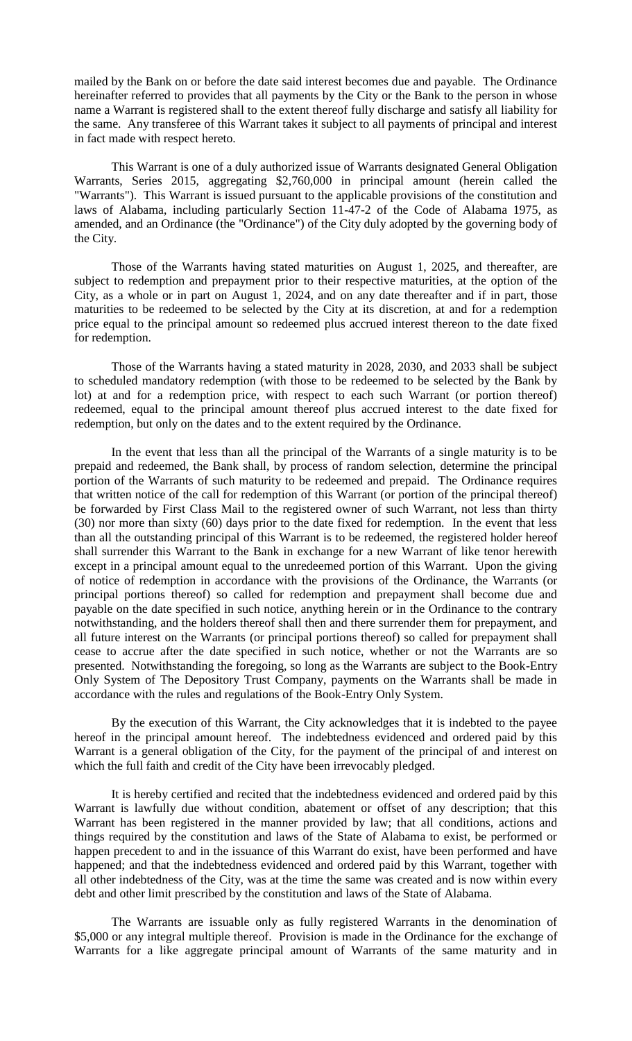mailed by the Bank on or before the date said interest becomes due and payable. The Ordinance hereinafter referred to provides that all payments by the City or the Bank to the person in whose name a Warrant is registered shall to the extent thereof fully discharge and satisfy all liability for the same. Any transferee of this Warrant takes it subject to all payments of principal and interest in fact made with respect hereto.

This Warrant is one of a duly authorized issue of Warrants designated General Obligation Warrants, Series 2015, aggregating \$2,760,000 in principal amount (herein called the "Warrants"). This Warrant is issued pursuant to the applicable provisions of the constitution and laws of Alabama, including particularly Section 11-47-2 of the Code of Alabama 1975, as amended, and an Ordinance (the "Ordinance") of the City duly adopted by the governing body of the City.

Those of the Warrants having stated maturities on August 1, 2025, and thereafter, are subject to redemption and prepayment prior to their respective maturities, at the option of the City, as a whole or in part on August 1, 2024, and on any date thereafter and if in part, those maturities to be redeemed to be selected by the City at its discretion, at and for a redemption price equal to the principal amount so redeemed plus accrued interest thereon to the date fixed for redemption.

Those of the Warrants having a stated maturity in 2028, 2030, and 2033 shall be subject to scheduled mandatory redemption (with those to be redeemed to be selected by the Bank by lot) at and for a redemption price, with respect to each such Warrant (or portion thereof) redeemed, equal to the principal amount thereof plus accrued interest to the date fixed for redemption, but only on the dates and to the extent required by the Ordinance.

In the event that less than all the principal of the Warrants of a single maturity is to be prepaid and redeemed, the Bank shall, by process of random selection, determine the principal portion of the Warrants of such maturity to be redeemed and prepaid. The Ordinance requires that written notice of the call for redemption of this Warrant (or portion of the principal thereof) be forwarded by First Class Mail to the registered owner of such Warrant, not less than thirty (30) nor more than sixty (60) days prior to the date fixed for redemption. In the event that less than all the outstanding principal of this Warrant is to be redeemed, the registered holder hereof shall surrender this Warrant to the Bank in exchange for a new Warrant of like tenor herewith except in a principal amount equal to the unredeemed portion of this Warrant. Upon the giving of notice of redemption in accordance with the provisions of the Ordinance, the Warrants (or principal portions thereof) so called for redemption and prepayment shall become due and payable on the date specified in such notice, anything herein or in the Ordinance to the contrary notwithstanding, and the holders thereof shall then and there surrender them for prepayment, and all future interest on the Warrants (or principal portions thereof) so called for prepayment shall cease to accrue after the date specified in such notice, whether or not the Warrants are so presented. Notwithstanding the foregoing, so long as the Warrants are subject to the Book-Entry Only System of The Depository Trust Company, payments on the Warrants shall be made in accordance with the rules and regulations of the Book-Entry Only System.

By the execution of this Warrant, the City acknowledges that it is indebted to the payee hereof in the principal amount hereof. The indebtedness evidenced and ordered paid by this Warrant is a general obligation of the City, for the payment of the principal of and interest on which the full faith and credit of the City have been irrevocably pledged.

It is hereby certified and recited that the indebtedness evidenced and ordered paid by this Warrant is lawfully due without condition, abatement or offset of any description; that this Warrant has been registered in the manner provided by law; that all conditions, actions and things required by the constitution and laws of the State of Alabama to exist, be performed or happen precedent to and in the issuance of this Warrant do exist, have been performed and have happened; and that the indebtedness evidenced and ordered paid by this Warrant, together with all other indebtedness of the City, was at the time the same was created and is now within every debt and other limit prescribed by the constitution and laws of the State of Alabama.

The Warrants are issuable only as fully registered Warrants in the denomination of \$5,000 or any integral multiple thereof. Provision is made in the Ordinance for the exchange of Warrants for a like aggregate principal amount of Warrants of the same maturity and in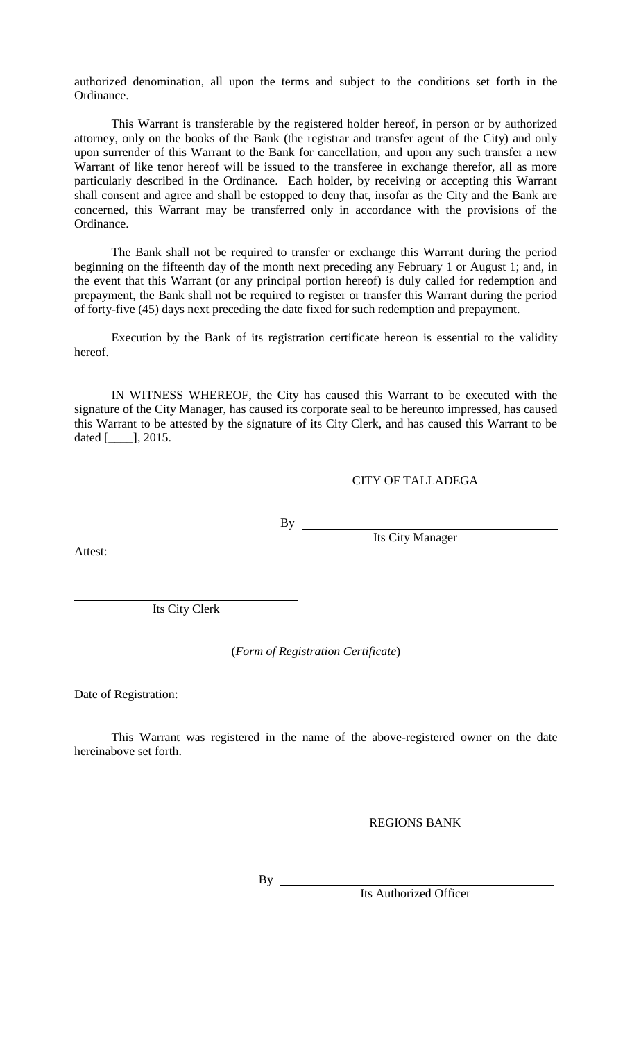authorized denomination, all upon the terms and subject to the conditions set forth in the Ordinance.

This Warrant is transferable by the registered holder hereof, in person or by authorized attorney, only on the books of the Bank (the registrar and transfer agent of the City) and only upon surrender of this Warrant to the Bank for cancellation, and upon any such transfer a new Warrant of like tenor hereof will be issued to the transferee in exchange therefor, all as more particularly described in the Ordinance. Each holder, by receiving or accepting this Warrant shall consent and agree and shall be estopped to deny that, insofar as the City and the Bank are concerned, this Warrant may be transferred only in accordance with the provisions of the Ordinance.

The Bank shall not be required to transfer or exchange this Warrant during the period beginning on the fifteenth day of the month next preceding any February 1 or August 1; and, in the event that this Warrant (or any principal portion hereof) is duly called for redemption and prepayment, the Bank shall not be required to register or transfer this Warrant during the period of forty-five (45) days next preceding the date fixed for such redemption and prepayment.

Execution by the Bank of its registration certificate hereon is essential to the validity hereof.

IN WITNESS WHEREOF, the City has caused this Warrant to be executed with the signature of the City Manager, has caused its corporate seal to be hereunto impressed, has caused this Warrant to be attested by the signature of its City Clerk, and has caused this Warrant to be dated [\_\_\_\_], 2015.

CITY OF TALLADEGA

By

Its City Manager

Attest:

Its City Clerk

(*Form of Registration Certificate*)

Date of Registration:

This Warrant was registered in the name of the above-registered owner on the date hereinabove set forth.

REGIONS BANK

 $By \_\_$ 

Its Authorized Officer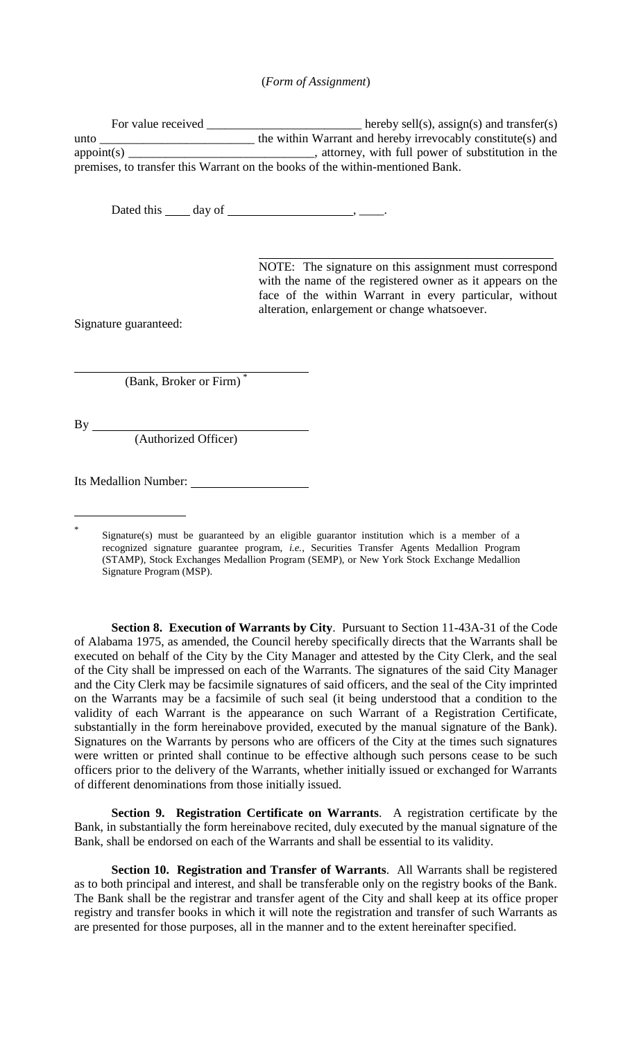### (*Form of Assignment*)

For value received  $\frac{1}{\sqrt{2}}$  hereby sell(s), assign(s) and transfer(s) unto \_\_\_\_\_\_\_\_\_\_\_\_\_\_\_\_\_\_\_\_\_\_\_\_\_\_\_\_\_\_ the within Warrant and hereby irrevocably constitute(s) and appoint(s) appoint and  $\alpha$  is the substitution in the substitution in the appoint of substitution in the substitution in the substitution in the substitution in the substitution in the substitution in the substitution in premises, to transfer this Warrant on the books of the within-mentioned Bank.

Dated this  $\_\_\_$  day of  $\_\_\_\_\_\_\_\_\$ .

NOTE: The signature on this assignment must correspond with the name of the registered owner as it appears on the face of the within Warrant in every particular, without alteration, enlargement or change whatsoever.

Signature guaranteed:

(Bank, Broker or Firm) \*

By

\*

(Authorized Officer)

Its Medallion Number:

Signature(s) must be guaranteed by an eligible guarantor institution which is a member of a recognized signature guarantee program, *i.e.*, Securities Transfer Agents Medallion Program (STAMP), Stock Exchanges Medallion Program (SEMP), or New York Stock Exchange Medallion Signature Program (MSP).

**Section 8. Execution of Warrants by City**. Pursuant to Section 11-43A-31 of the Code of Alabama 1975, as amended, the Council hereby specifically directs that the Warrants shall be executed on behalf of the City by the City Manager and attested by the City Clerk, and the seal of the City shall be impressed on each of the Warrants. The signatures of the said City Manager and the City Clerk may be facsimile signatures of said officers, and the seal of the City imprinted on the Warrants may be a facsimile of such seal (it being understood that a condition to the validity of each Warrant is the appearance on such Warrant of a Registration Certificate, substantially in the form hereinabove provided, executed by the manual signature of the Bank). Signatures on the Warrants by persons who are officers of the City at the times such signatures were written or printed shall continue to be effective although such persons cease to be such officers prior to the delivery of the Warrants, whether initially issued or exchanged for Warrants of different denominations from those initially issued.

**Section 9. Registration Certificate on Warrants**. A registration certificate by the Bank, in substantially the form hereinabove recited, duly executed by the manual signature of the Bank, shall be endorsed on each of the Warrants and shall be essential to its validity.

**Section 10. Registration and Transfer of Warrants**. All Warrants shall be registered as to both principal and interest, and shall be transferable only on the registry books of the Bank. The Bank shall be the registrar and transfer agent of the City and shall keep at its office proper registry and transfer books in which it will note the registration and transfer of such Warrants as are presented for those purposes, all in the manner and to the extent hereinafter specified.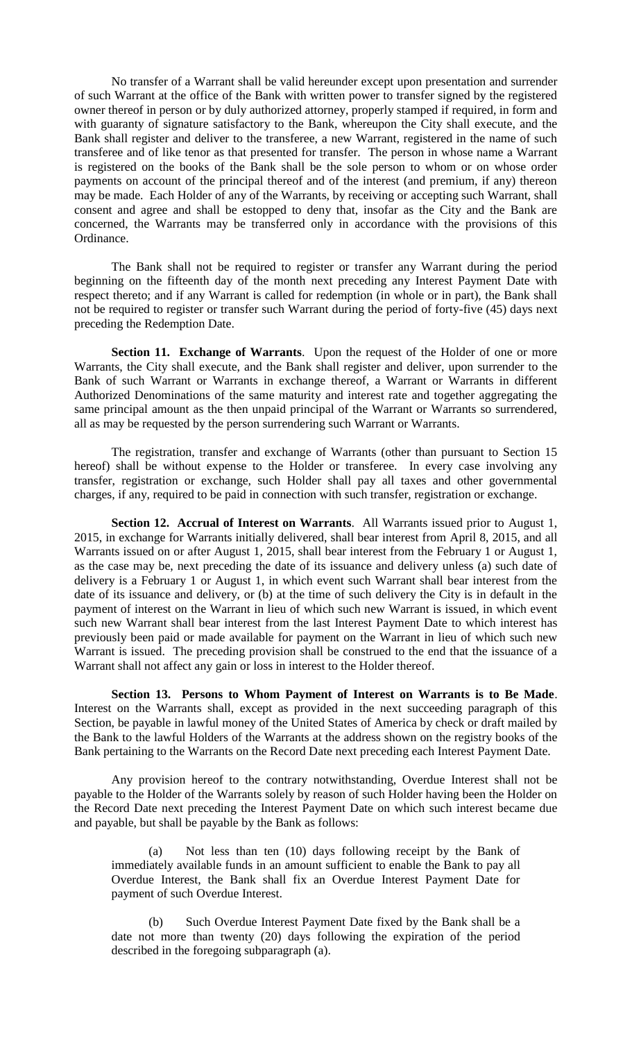No transfer of a Warrant shall be valid hereunder except upon presentation and surrender of such Warrant at the office of the Bank with written power to transfer signed by the registered owner thereof in person or by duly authorized attorney, properly stamped if required, in form and with guaranty of signature satisfactory to the Bank, whereupon the City shall execute, and the Bank shall register and deliver to the transferee, a new Warrant, registered in the name of such transferee and of like tenor as that presented for transfer. The person in whose name a Warrant is registered on the books of the Bank shall be the sole person to whom or on whose order payments on account of the principal thereof and of the interest (and premium, if any) thereon may be made. Each Holder of any of the Warrants, by receiving or accepting such Warrant, shall consent and agree and shall be estopped to deny that, insofar as the City and the Bank are concerned, the Warrants may be transferred only in accordance with the provisions of this Ordinance.

The Bank shall not be required to register or transfer any Warrant during the period beginning on the fifteenth day of the month next preceding any Interest Payment Date with respect thereto; and if any Warrant is called for redemption (in whole or in part), the Bank shall not be required to register or transfer such Warrant during the period of forty-five (45) days next preceding the Redemption Date.

**Section 11. Exchange of Warrants**. Upon the request of the Holder of one or more Warrants, the City shall execute, and the Bank shall register and deliver, upon surrender to the Bank of such Warrant or Warrants in exchange thereof, a Warrant or Warrants in different Authorized Denominations of the same maturity and interest rate and together aggregating the same principal amount as the then unpaid principal of the Warrant or Warrants so surrendered, all as may be requested by the person surrendering such Warrant or Warrants.

The registration, transfer and exchange of Warrants (other than pursuant to Section 15 hereof) shall be without expense to the Holder or transferee. In every case involving any transfer, registration or exchange, such Holder shall pay all taxes and other governmental charges, if any, required to be paid in connection with such transfer, registration or exchange.

**Section 12. Accrual of Interest on Warrants**. All Warrants issued prior to August 1, 2015, in exchange for Warrants initially delivered, shall bear interest from April 8, 2015, and all Warrants issued on or after August 1, 2015, shall bear interest from the February 1 or August 1, as the case may be, next preceding the date of its issuance and delivery unless (a) such date of delivery is a February 1 or August 1, in which event such Warrant shall bear interest from the date of its issuance and delivery, or (b) at the time of such delivery the City is in default in the payment of interest on the Warrant in lieu of which such new Warrant is issued, in which event such new Warrant shall bear interest from the last Interest Payment Date to which interest has previously been paid or made available for payment on the Warrant in lieu of which such new Warrant is issued. The preceding provision shall be construed to the end that the issuance of a Warrant shall not affect any gain or loss in interest to the Holder thereof.

**Section 13. Persons to Whom Payment of Interest on Warrants is to Be Made**. Interest on the Warrants shall, except as provided in the next succeeding paragraph of this Section, be payable in lawful money of the United States of America by check or draft mailed by the Bank to the lawful Holders of the Warrants at the address shown on the registry books of the Bank pertaining to the Warrants on the Record Date next preceding each Interest Payment Date.

Any provision hereof to the contrary notwithstanding, Overdue Interest shall not be payable to the Holder of the Warrants solely by reason of such Holder having been the Holder on the Record Date next preceding the Interest Payment Date on which such interest became due and payable, but shall be payable by the Bank as follows:

(a) Not less than ten (10) days following receipt by the Bank of immediately available funds in an amount sufficient to enable the Bank to pay all Overdue Interest, the Bank shall fix an Overdue Interest Payment Date for payment of such Overdue Interest.

(b) Such Overdue Interest Payment Date fixed by the Bank shall be a date not more than twenty (20) days following the expiration of the period described in the foregoing subparagraph (a).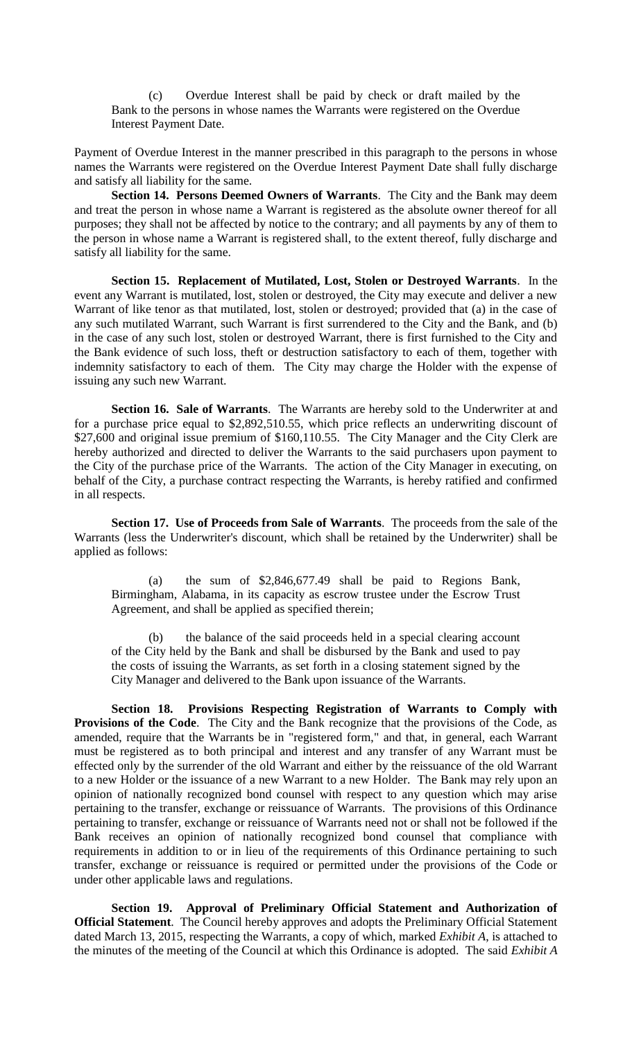(c) Overdue Interest shall be paid by check or draft mailed by the Bank to the persons in whose names the Warrants were registered on the Overdue Interest Payment Date.

Payment of Overdue Interest in the manner prescribed in this paragraph to the persons in whose names the Warrants were registered on the Overdue Interest Payment Date shall fully discharge and satisfy all liability for the same.

**Section 14. Persons Deemed Owners of Warrants**. The City and the Bank may deem and treat the person in whose name a Warrant is registered as the absolute owner thereof for all purposes; they shall not be affected by notice to the contrary; and all payments by any of them to the person in whose name a Warrant is registered shall, to the extent thereof, fully discharge and satisfy all liability for the same.

**Section 15. Replacement of Mutilated, Lost, Stolen or Destroyed Warrants**. In the event any Warrant is mutilated, lost, stolen or destroyed, the City may execute and deliver a new Warrant of like tenor as that mutilated, lost, stolen or destroyed; provided that (a) in the case of any such mutilated Warrant, such Warrant is first surrendered to the City and the Bank, and (b) in the case of any such lost, stolen or destroyed Warrant, there is first furnished to the City and the Bank evidence of such loss, theft or destruction satisfactory to each of them, together with indemnity satisfactory to each of them. The City may charge the Holder with the expense of issuing any such new Warrant.

**Section 16. Sale of Warrants**. The Warrants are hereby sold to the Underwriter at and for a purchase price equal to \$2,892,510.55, which price reflects an underwriting discount of \$27,600 and original issue premium of \$160,110.55. The City Manager and the City Clerk are hereby authorized and directed to deliver the Warrants to the said purchasers upon payment to the City of the purchase price of the Warrants. The action of the City Manager in executing, on behalf of the City, a purchase contract respecting the Warrants, is hereby ratified and confirmed in all respects.

**Section 17. Use of Proceeds from Sale of Warrants**. The proceeds from the sale of the Warrants (less the Underwriter's discount, which shall be retained by the Underwriter) shall be applied as follows:

(a) the sum of \$2,846,677.49 shall be paid to Regions Bank, Birmingham, Alabama, in its capacity as escrow trustee under the Escrow Trust Agreement, and shall be applied as specified therein;

(b) the balance of the said proceeds held in a special clearing account of the City held by the Bank and shall be disbursed by the Bank and used to pay the costs of issuing the Warrants, as set forth in a closing statement signed by the City Manager and delivered to the Bank upon issuance of the Warrants.

**Section 18. Provisions Respecting Registration of Warrants to Comply with Provisions of the Code.** The City and the Bank recognize that the provisions of the Code, as amended, require that the Warrants be in "registered form," and that, in general, each Warrant must be registered as to both principal and interest and any transfer of any Warrant must be effected only by the surrender of the old Warrant and either by the reissuance of the old Warrant to a new Holder or the issuance of a new Warrant to a new Holder. The Bank may rely upon an opinion of nationally recognized bond counsel with respect to any question which may arise pertaining to the transfer, exchange or reissuance of Warrants. The provisions of this Ordinance pertaining to transfer, exchange or reissuance of Warrants need not or shall not be followed if the Bank receives an opinion of nationally recognized bond counsel that compliance with requirements in addition to or in lieu of the requirements of this Ordinance pertaining to such transfer, exchange or reissuance is required or permitted under the provisions of the Code or under other applicable laws and regulations.

**Section 19. Approval of Preliminary Official Statement and Authorization of Official Statement**. The Council hereby approves and adopts the Preliminary Official Statement dated March 13, 2015, respecting the Warrants, a copy of which, marked *Exhibit A*, is attached to the minutes of the meeting of the Council at which this Ordinance is adopted. The said *Exhibit A*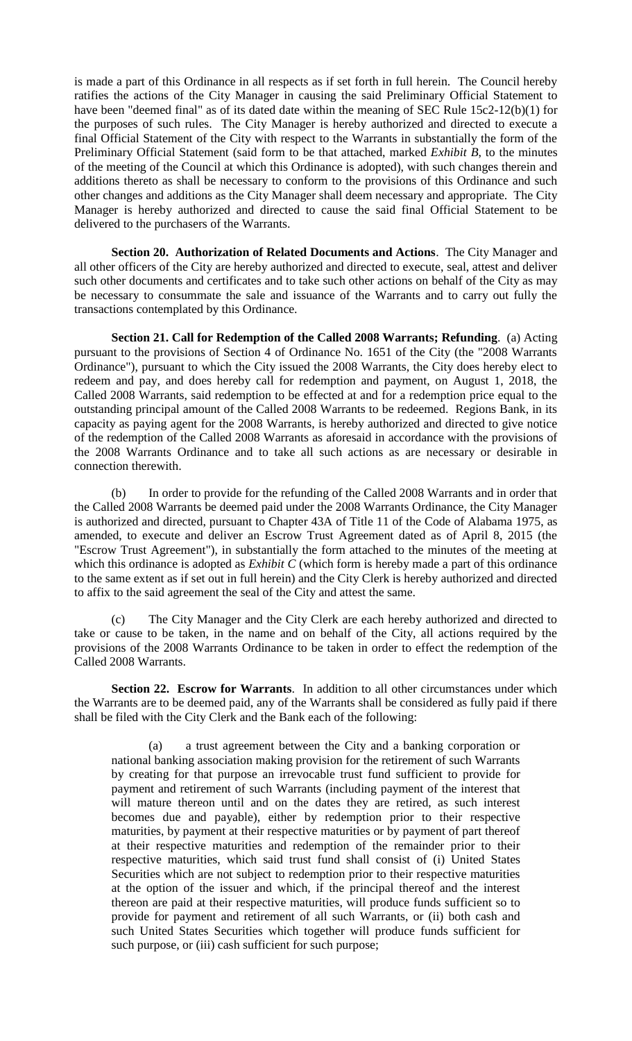is made a part of this Ordinance in all respects as if set forth in full herein. The Council hereby ratifies the actions of the City Manager in causing the said Preliminary Official Statement to have been "deemed final" as of its dated date within the meaning of SEC Rule 15c2-12(b)(1) for the purposes of such rules. The City Manager is hereby authorized and directed to execute a final Official Statement of the City with respect to the Warrants in substantially the form of the Preliminary Official Statement (said form to be that attached, marked *Exhibit B*, to the minutes of the meeting of the Council at which this Ordinance is adopted), with such changes therein and additions thereto as shall be necessary to conform to the provisions of this Ordinance and such other changes and additions as the City Manager shall deem necessary and appropriate. The City Manager is hereby authorized and directed to cause the said final Official Statement to be delivered to the purchasers of the Warrants.

**Section 20. Authorization of Related Documents and Actions**. The City Manager and all other officers of the City are hereby authorized and directed to execute, seal, attest and deliver such other documents and certificates and to take such other actions on behalf of the City as may be necessary to consummate the sale and issuance of the Warrants and to carry out fully the transactions contemplated by this Ordinance.

**Section 21. Call for Redemption of the Called 2008 Warrants; Refunding**. (a) Acting pursuant to the provisions of Section 4 of Ordinance No. 1651 of the City (the "2008 Warrants Ordinance"), pursuant to which the City issued the 2008 Warrants, the City does hereby elect to redeem and pay, and does hereby call for redemption and payment, on August 1, 2018, the Called 2008 Warrants, said redemption to be effected at and for a redemption price equal to the outstanding principal amount of the Called 2008 Warrants to be redeemed. Regions Bank, in its capacity as paying agent for the 2008 Warrants, is hereby authorized and directed to give notice of the redemption of the Called 2008 Warrants as aforesaid in accordance with the provisions of the 2008 Warrants Ordinance and to take all such actions as are necessary or desirable in connection therewith.

(b) In order to provide for the refunding of the Called 2008 Warrants and in order that the Called 2008 Warrants be deemed paid under the 2008 Warrants Ordinance, the City Manager is authorized and directed, pursuant to Chapter 43A of Title 11 of the Code of Alabama 1975, as amended, to execute and deliver an Escrow Trust Agreement dated as of April 8, 2015 (the "Escrow Trust Agreement"), in substantially the form attached to the minutes of the meeting at which this ordinance is adopted as *Exhibit C* (which form is hereby made a part of this ordinance to the same extent as if set out in full herein) and the City Clerk is hereby authorized and directed to affix to the said agreement the seal of the City and attest the same.

(c) The City Manager and the City Clerk are each hereby authorized and directed to take or cause to be taken, in the name and on behalf of the City, all actions required by the provisions of the 2008 Warrants Ordinance to be taken in order to effect the redemption of the Called 2008 Warrants.

**Section 22. Escrow for Warrants**. In addition to all other circumstances under which the Warrants are to be deemed paid, any of the Warrants shall be considered as fully paid if there shall be filed with the City Clerk and the Bank each of the following:

(a) a trust agreement between the City and a banking corporation or national banking association making provision for the retirement of such Warrants by creating for that purpose an irrevocable trust fund sufficient to provide for payment and retirement of such Warrants (including payment of the interest that will mature thereon until and on the dates they are retired, as such interest becomes due and payable), either by redemption prior to their respective maturities, by payment at their respective maturities or by payment of part thereof at their respective maturities and redemption of the remainder prior to their respective maturities, which said trust fund shall consist of (i) United States Securities which are not subject to redemption prior to their respective maturities at the option of the issuer and which, if the principal thereof and the interest thereon are paid at their respective maturities, will produce funds sufficient so to provide for payment and retirement of all such Warrants, or (ii) both cash and such United States Securities which together will produce funds sufficient for such purpose, or (iii) cash sufficient for such purpose;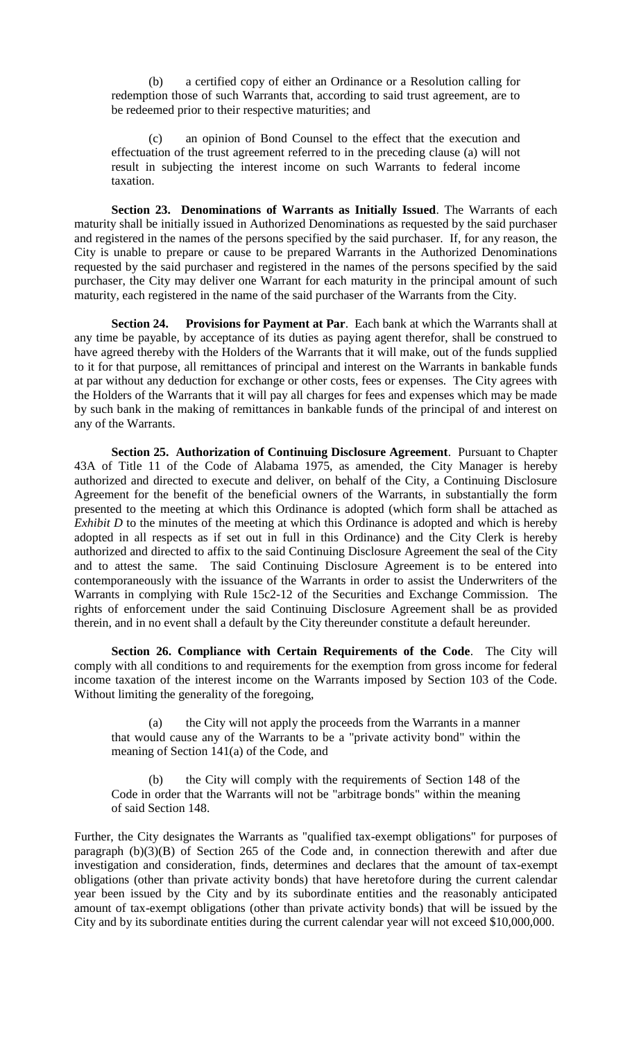(b) a certified copy of either an Ordinance or a Resolution calling for redemption those of such Warrants that, according to said trust agreement, are to be redeemed prior to their respective maturities; and

an opinion of Bond Counsel to the effect that the execution and effectuation of the trust agreement referred to in the preceding clause (a) will not result in subjecting the interest income on such Warrants to federal income taxation.

**Section 23. Denominations of Warrants as Initially Issued**. The Warrants of each maturity shall be initially issued in Authorized Denominations as requested by the said purchaser and registered in the names of the persons specified by the said purchaser. If, for any reason, the City is unable to prepare or cause to be prepared Warrants in the Authorized Denominations requested by the said purchaser and registered in the names of the persons specified by the said purchaser, the City may deliver one Warrant for each maturity in the principal amount of such maturity, each registered in the name of the said purchaser of the Warrants from the City.

**Section 24. Provisions for Payment at Par**. Each bank at which the Warrants shall at any time be payable, by acceptance of its duties as paying agent therefor, shall be construed to have agreed thereby with the Holders of the Warrants that it will make, out of the funds supplied to it for that purpose, all remittances of principal and interest on the Warrants in bankable funds at par without any deduction for exchange or other costs, fees or expenses. The City agrees with the Holders of the Warrants that it will pay all charges for fees and expenses which may be made by such bank in the making of remittances in bankable funds of the principal of and interest on any of the Warrants.

**Section 25. Authorization of Continuing Disclosure Agreement**. Pursuant to Chapter 43A of Title 11 of the Code of Alabama 1975, as amended, the City Manager is hereby authorized and directed to execute and deliver, on behalf of the City, a Continuing Disclosure Agreement for the benefit of the beneficial owners of the Warrants, in substantially the form presented to the meeting at which this Ordinance is adopted (which form shall be attached as *Exhibit D* to the minutes of the meeting at which this Ordinance is adopted and which is hereby adopted in all respects as if set out in full in this Ordinance) and the City Clerk is hereby authorized and directed to affix to the said Continuing Disclosure Agreement the seal of the City and to attest the same. The said Continuing Disclosure Agreement is to be entered into contemporaneously with the issuance of the Warrants in order to assist the Underwriters of the Warrants in complying with Rule 15c2-12 of the Securities and Exchange Commission. The rights of enforcement under the said Continuing Disclosure Agreement shall be as provided therein, and in no event shall a default by the City thereunder constitute a default hereunder.

**Section 26. Compliance with Certain Requirements of the Code**. The City will comply with all conditions to and requirements for the exemption from gross income for federal income taxation of the interest income on the Warrants imposed by Section 103 of the Code. Without limiting the generality of the foregoing,

(a) the City will not apply the proceeds from the Warrants in a manner that would cause any of the Warrants to be a "private activity bond" within the meaning of Section 141(a) of the Code, and

(b) the City will comply with the requirements of Section 148 of the Code in order that the Warrants will not be "arbitrage bonds" within the meaning of said Section 148.

Further, the City designates the Warrants as "qualified tax-exempt obligations" for purposes of paragraph (b)(3)(B) of Section 265 of the Code and, in connection therewith and after due investigation and consideration, finds, determines and declares that the amount of tax-exempt obligations (other than private activity bonds) that have heretofore during the current calendar year been issued by the City and by its subordinate entities and the reasonably anticipated amount of tax-exempt obligations (other than private activity bonds) that will be issued by the City and by its subordinate entities during the current calendar year will not exceed \$10,000,000.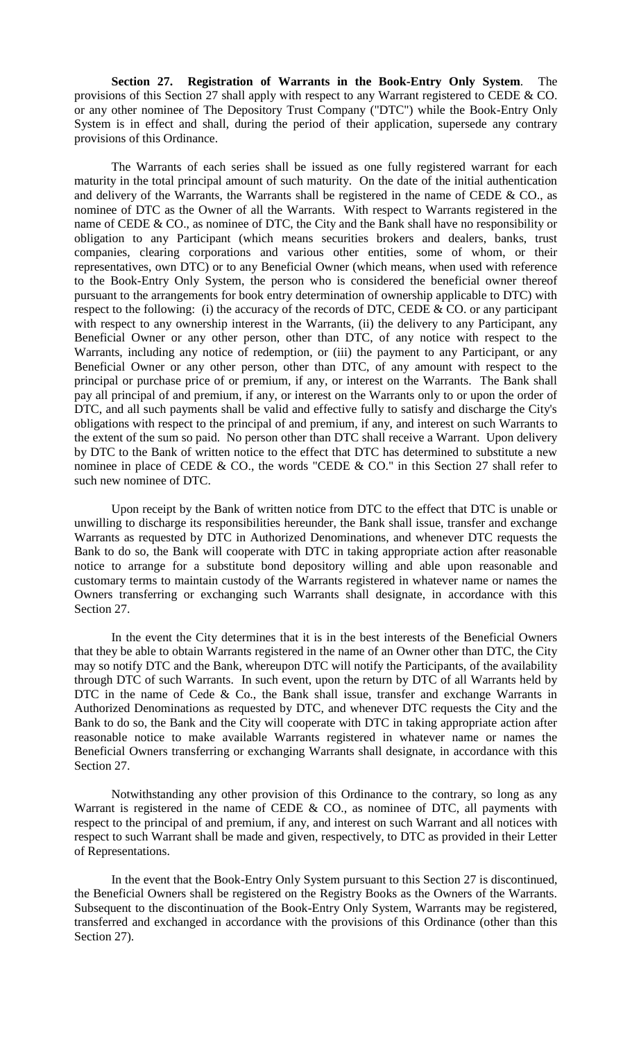**Section 27. Registration of Warrants in the Book-Entry Only System**. The provisions of this Section 27 shall apply with respect to any Warrant registered to CEDE & CO. or any other nominee of The Depository Trust Company ("DTC") while the Book-Entry Only System is in effect and shall, during the period of their application, supersede any contrary provisions of this Ordinance.

The Warrants of each series shall be issued as one fully registered warrant for each maturity in the total principal amount of such maturity. On the date of the initial authentication and delivery of the Warrants, the Warrants shall be registered in the name of CEDE  $&$  CO., as nominee of DTC as the Owner of all the Warrants. With respect to Warrants registered in the name of CEDE & CO., as nominee of DTC, the City and the Bank shall have no responsibility or obligation to any Participant (which means securities brokers and dealers, banks, trust companies, clearing corporations and various other entities, some of whom, or their representatives, own DTC) or to any Beneficial Owner (which means, when used with reference to the Book-Entry Only System, the person who is considered the beneficial owner thereof pursuant to the arrangements for book entry determination of ownership applicable to DTC) with respect to the following: (i) the accuracy of the records of DTC, CEDE  $&$  CO. or any participant with respect to any ownership interest in the Warrants, (ii) the delivery to any Participant, any Beneficial Owner or any other person, other than DTC, of any notice with respect to the Warrants, including any notice of redemption, or (iii) the payment to any Participant, or any Beneficial Owner or any other person, other than DTC, of any amount with respect to the principal or purchase price of or premium, if any, or interest on the Warrants. The Bank shall pay all principal of and premium, if any, or interest on the Warrants only to or upon the order of DTC, and all such payments shall be valid and effective fully to satisfy and discharge the City's obligations with respect to the principal of and premium, if any, and interest on such Warrants to the extent of the sum so paid. No person other than DTC shall receive a Warrant. Upon delivery by DTC to the Bank of written notice to the effect that DTC has determined to substitute a new nominee in place of CEDE & CO., the words "CEDE & CO." in this Section 27 shall refer to such new nominee of DTC.

Upon receipt by the Bank of written notice from DTC to the effect that DTC is unable or unwilling to discharge its responsibilities hereunder, the Bank shall issue, transfer and exchange Warrants as requested by DTC in Authorized Denominations, and whenever DTC requests the Bank to do so, the Bank will cooperate with DTC in taking appropriate action after reasonable notice to arrange for a substitute bond depository willing and able upon reasonable and customary terms to maintain custody of the Warrants registered in whatever name or names the Owners transferring or exchanging such Warrants shall designate, in accordance with this Section 27.

In the event the City determines that it is in the best interests of the Beneficial Owners that they be able to obtain Warrants registered in the name of an Owner other than DTC, the City may so notify DTC and the Bank, whereupon DTC will notify the Participants, of the availability through DTC of such Warrants. In such event, upon the return by DTC of all Warrants held by DTC in the name of Cede & Co., the Bank shall issue, transfer and exchange Warrants in Authorized Denominations as requested by DTC, and whenever DTC requests the City and the Bank to do so, the Bank and the City will cooperate with DTC in taking appropriate action after reasonable notice to make available Warrants registered in whatever name or names the Beneficial Owners transferring or exchanging Warrants shall designate, in accordance with this Section 27.

Notwithstanding any other provision of this Ordinance to the contrary, so long as any Warrant is registered in the name of CEDE & CO., as nominee of DTC, all payments with respect to the principal of and premium, if any, and interest on such Warrant and all notices with respect to such Warrant shall be made and given, respectively, to DTC as provided in their Letter of Representations.

In the event that the Book-Entry Only System pursuant to this Section 27 is discontinued, the Beneficial Owners shall be registered on the Registry Books as the Owners of the Warrants. Subsequent to the discontinuation of the Book-Entry Only System, Warrants may be registered, transferred and exchanged in accordance with the provisions of this Ordinance (other than this Section 27).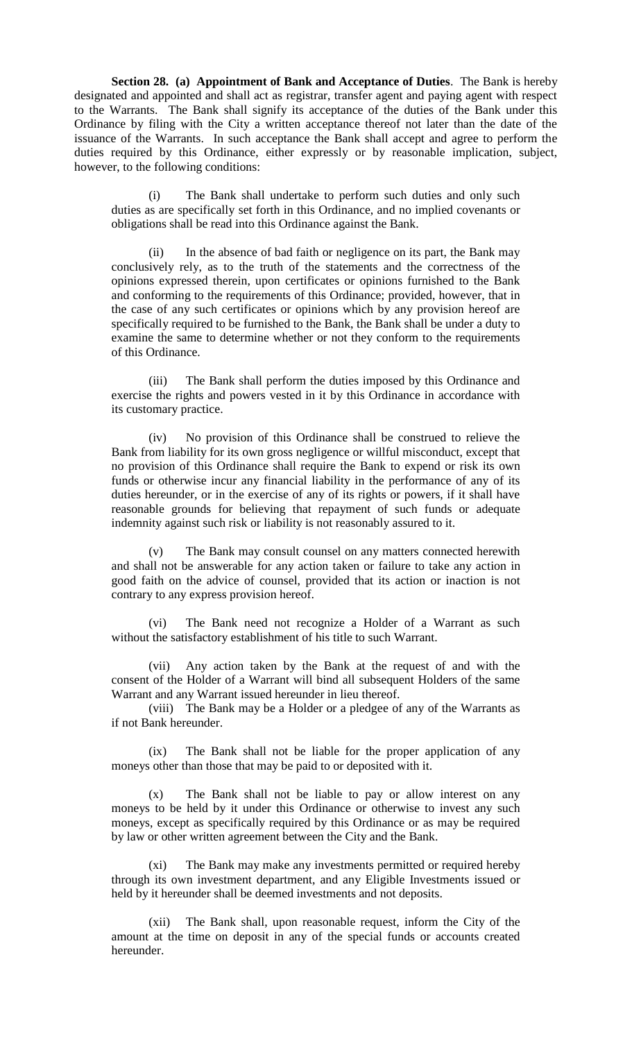**Section 28. (a) Appointment of Bank and Acceptance of Duties**. The Bank is hereby designated and appointed and shall act as registrar, transfer agent and paying agent with respect to the Warrants. The Bank shall signify its acceptance of the duties of the Bank under this Ordinance by filing with the City a written acceptance thereof not later than the date of the issuance of the Warrants. In such acceptance the Bank shall accept and agree to perform the duties required by this Ordinance, either expressly or by reasonable implication, subject, however, to the following conditions:

(i) The Bank shall undertake to perform such duties and only such duties as are specifically set forth in this Ordinance, and no implied covenants or obligations shall be read into this Ordinance against the Bank.

(ii) In the absence of bad faith or negligence on its part, the Bank may conclusively rely, as to the truth of the statements and the correctness of the opinions expressed therein, upon certificates or opinions furnished to the Bank and conforming to the requirements of this Ordinance; provided, however, that in the case of any such certificates or opinions which by any provision hereof are specifically required to be furnished to the Bank, the Bank shall be under a duty to examine the same to determine whether or not they conform to the requirements of this Ordinance.

(iii) The Bank shall perform the duties imposed by this Ordinance and exercise the rights and powers vested in it by this Ordinance in accordance with its customary practice.

(iv) No provision of this Ordinance shall be construed to relieve the Bank from liability for its own gross negligence or willful misconduct, except that no provision of this Ordinance shall require the Bank to expend or risk its own funds or otherwise incur any financial liability in the performance of any of its duties hereunder, or in the exercise of any of its rights or powers, if it shall have reasonable grounds for believing that repayment of such funds or adequate indemnity against such risk or liability is not reasonably assured to it.

(v) The Bank may consult counsel on any matters connected herewith and shall not be answerable for any action taken or failure to take any action in good faith on the advice of counsel, provided that its action or inaction is not contrary to any express provision hereof.

(vi) The Bank need not recognize a Holder of a Warrant as such without the satisfactory establishment of his title to such Warrant.

(vii) Any action taken by the Bank at the request of and with the consent of the Holder of a Warrant will bind all subsequent Holders of the same Warrant and any Warrant issued hereunder in lieu thereof.

(viii) The Bank may be a Holder or a pledgee of any of the Warrants as if not Bank hereunder.

(ix) The Bank shall not be liable for the proper application of any moneys other than those that may be paid to or deposited with it.

(x) The Bank shall not be liable to pay or allow interest on any moneys to be held by it under this Ordinance or otherwise to invest any such moneys, except as specifically required by this Ordinance or as may be required by law or other written agreement between the City and the Bank.

(xi) The Bank may make any investments permitted or required hereby through its own investment department, and any Eligible Investments issued or held by it hereunder shall be deemed investments and not deposits.

(xii) The Bank shall, upon reasonable request, inform the City of the amount at the time on deposit in any of the special funds or accounts created hereunder.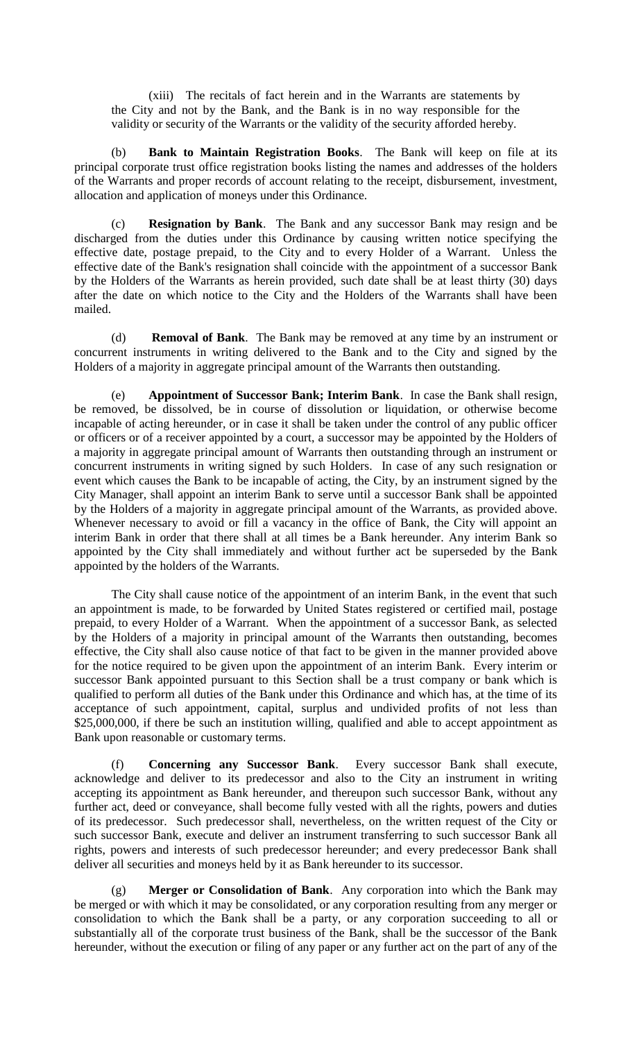(xiii) The recitals of fact herein and in the Warrants are statements by the City and not by the Bank, and the Bank is in no way responsible for the validity or security of the Warrants or the validity of the security afforded hereby.

(b) **Bank to Maintain Registration Books**. The Bank will keep on file at its principal corporate trust office registration books listing the names and addresses of the holders of the Warrants and proper records of account relating to the receipt, disbursement, investment, allocation and application of moneys under this Ordinance.

(c) **Resignation by Bank**. The Bank and any successor Bank may resign and be discharged from the duties under this Ordinance by causing written notice specifying the effective date, postage prepaid, to the City and to every Holder of a Warrant. Unless the effective date of the Bank's resignation shall coincide with the appointment of a successor Bank by the Holders of the Warrants as herein provided, such date shall be at least thirty (30) days after the date on which notice to the City and the Holders of the Warrants shall have been mailed.

(d) **Removal of Bank**. The Bank may be removed at any time by an instrument or concurrent instruments in writing delivered to the Bank and to the City and signed by the Holders of a majority in aggregate principal amount of the Warrants then outstanding.

(e) **Appointment of Successor Bank; Interim Bank**. In case the Bank shall resign, be removed, be dissolved, be in course of dissolution or liquidation, or otherwise become incapable of acting hereunder, or in case it shall be taken under the control of any public officer or officers or of a receiver appointed by a court, a successor may be appointed by the Holders of a majority in aggregate principal amount of Warrants then outstanding through an instrument or concurrent instruments in writing signed by such Holders. In case of any such resignation or event which causes the Bank to be incapable of acting, the City, by an instrument signed by the City Manager, shall appoint an interim Bank to serve until a successor Bank shall be appointed by the Holders of a majority in aggregate principal amount of the Warrants, as provided above. Whenever necessary to avoid or fill a vacancy in the office of Bank, the City will appoint an interim Bank in order that there shall at all times be a Bank hereunder. Any interim Bank so appointed by the City shall immediately and without further act be superseded by the Bank appointed by the holders of the Warrants.

The City shall cause notice of the appointment of an interim Bank, in the event that such an appointment is made, to be forwarded by United States registered or certified mail, postage prepaid, to every Holder of a Warrant. When the appointment of a successor Bank, as selected by the Holders of a majority in principal amount of the Warrants then outstanding, becomes effective, the City shall also cause notice of that fact to be given in the manner provided above for the notice required to be given upon the appointment of an interim Bank. Every interim or successor Bank appointed pursuant to this Section shall be a trust company or bank which is qualified to perform all duties of the Bank under this Ordinance and which has, at the time of its acceptance of such appointment, capital, surplus and undivided profits of not less than \$25,000,000, if there be such an institution willing, qualified and able to accept appointment as Bank upon reasonable or customary terms.

(f) **Concerning any Successor Bank**. Every successor Bank shall execute, acknowledge and deliver to its predecessor and also to the City an instrument in writing accepting its appointment as Bank hereunder, and thereupon such successor Bank, without any further act, deed or conveyance, shall become fully vested with all the rights, powers and duties of its predecessor. Such predecessor shall, nevertheless, on the written request of the City or such successor Bank, execute and deliver an instrument transferring to such successor Bank all rights, powers and interests of such predecessor hereunder; and every predecessor Bank shall deliver all securities and moneys held by it as Bank hereunder to its successor.

(g) **Merger or Consolidation of Bank**. Any corporation into which the Bank may be merged or with which it may be consolidated, or any corporation resulting from any merger or consolidation to which the Bank shall be a party, or any corporation succeeding to all or substantially all of the corporate trust business of the Bank, shall be the successor of the Bank hereunder, without the execution or filing of any paper or any further act on the part of any of the